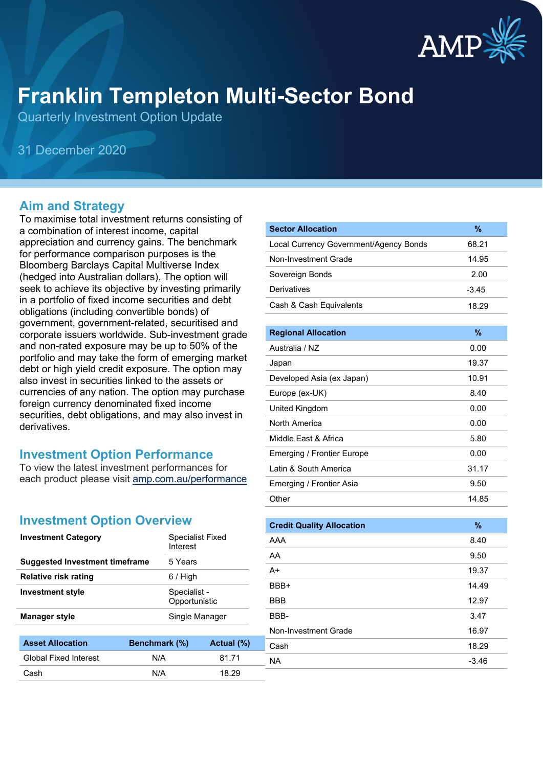

# **Franklin Templeton Multi-Sector Bond**

Quarterly Investment Option Update

31 December 2020

#### **Aim and Strategy**

To maximise total investment returns consisting of a combination of interest income, capital appreciation and currency gains. The benchmark for performance comparison purposes is the Bloomberg Barclays Capital Multiverse Index (hedged into Australian dollars). The option will seek to achieve its objective by investing primarily in a portfolio of fixed income securities and debt obligations (including convertible bonds) of government, government-related, securitised and corporate issuers worldwide. Sub-investment grade and non-rated exposure may be up to 50% of the portfolio and may take the form of emerging market debt or high yield credit exposure. The option may also invest in securities linked to the assets or currencies of any nation. The option may purchase foreign currency denominated fixed income securities, debt obligations, and may also invest in derivatives.

#### **Investment Option Performance**

To view the latest investment performances for each product please visit [amp.com.au/performance](https://www.amp.com.au/performance)

#### **Investment Option Overview**

| <b>Investment Category</b>            | <b>Specialist Fixed</b><br>Interest |                               |  |
|---------------------------------------|-------------------------------------|-------------------------------|--|
| <b>Suggested Investment timeframe</b> | 5 Years                             |                               |  |
| Relative risk rating                  | 6 / High                            |                               |  |
| <b>Investment style</b>               |                                     | Specialist -<br>Opportunistic |  |
| <b>Manager style</b>                  |                                     | Single Manager                |  |
|                                       |                                     |                               |  |
| Asset Allocation                      | Renchmark (%)                       | $A$ ctual $(% )$              |  |

| <b>Asset Allocation</b>      | <b>Benchmark</b> (%) | Actual (%) | Cash      | 18.29   |
|------------------------------|----------------------|------------|-----------|---------|
| <b>Global Fixed Interest</b> | N/A                  | 81.71      | <b>NA</b> | $-3.46$ |
| Cash                         | N/A                  | 18.29      |           |         |

| <b>Sector Allocation</b>               | $\frac{9}{6}$ |
|----------------------------------------|---------------|
| Local Currency Government/Agency Bonds | 68.21         |
| Non-Investment Grade                   | 14.95         |
| Sovereign Bonds                        | 2.00          |
| Derivatives                            | $-3.45$       |
| Cash & Cash Equivalents                | 18.29         |
|                                        |               |
| <b>Regional Allocation</b>             | %             |
| Australia / N7                         | 0.00          |
| Japan                                  | 19.37         |
| Developed Asia (ex Japan)              | 10.91         |
| Europe (ex-UK)                         | 8.40          |
| United Kingdom                         | 0.00          |
| North America                          | 0.00          |
| Middle Fast & Africa                   | 5.80          |
| <b>Emerging / Frontier Europe</b>      | 0.00          |
| Latin & South America                  | 31.17         |
| Emerging / Frontier Asia               | 9.50          |
| Other                                  | 14.85         |
|                                        |               |

| <b>Credit Quality Allocation</b> | $\%$    |
|----------------------------------|---------|
| AAA                              | 8.40    |
| AA                               | 9.50    |
| $A+$                             | 19.37   |
| BBB+                             | 14.49   |
| <b>BBB</b>                       | 12.97   |
| BBB-                             | 3.47    |
| Non-Investment Grade             | 16.97   |
| Cash                             | 18.29   |
| <b>NA</b>                        | $-3.46$ |
|                                  |         |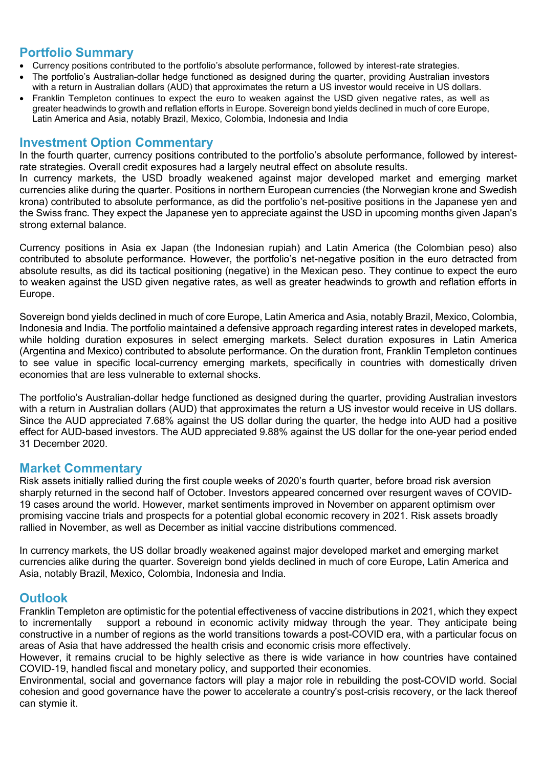#### **Portfolio Summary**

- Currency positions contributed to the portfolio's absolute performance, followed by interest-rate strategies.
- The portfolio's Australian-dollar hedge functioned as designed during the quarter, providing Australian investors with a return in Australian dollars (AUD) that approximates the return a US investor would receive in US dollars.
- Franklin Templeton continues to expect the euro to weaken against the USD given negative rates, as well as greater headwinds to growth and reflation efforts in Europe. Sovereign bond yields declined in much of core Europe, Latin America and Asia, notably Brazil, Mexico, Colombia, Indonesia and India

#### **Investment Option Commentary**

In the fourth quarter, currency positions contributed to the portfolio's absolute performance, followed by interestrate strategies. Overall credit exposures had a largely neutral effect on absolute results.

In currency markets, the USD broadly weakened against major developed market and emerging market currencies alike during the quarter. Positions in northern European currencies (the Norwegian krone and Swedish krona) contributed to absolute performance, as did the portfolio's net-positive positions in the Japanese yen and the Swiss franc. They expect the Japanese yen to appreciate against the USD in upcoming months given Japan's strong external balance.

Currency positions in Asia ex Japan (the Indonesian rupiah) and Latin America (the Colombian peso) also contributed to absolute performance. However, the portfolio's net-negative position in the euro detracted from absolute results, as did its tactical positioning (negative) in the Mexican peso. They continue to expect the euro to weaken against the USD given negative rates, as well as greater headwinds to growth and reflation efforts in Europe.

Sovereign bond yields declined in much of core Europe, Latin America and Asia, notably Brazil, Mexico, Colombia, Indonesia and India. The portfolio maintained a defensive approach regarding interest rates in developed markets, while holding duration exposures in select emerging markets. Select duration exposures in Latin America (Argentina and Mexico) contributed to absolute performance. On the duration front, Franklin Templeton continues to see value in specific local-currency emerging markets, specifically in countries with domestically driven economies that are less vulnerable to external shocks.

The portfolio's Australian-dollar hedge functioned as designed during the quarter, providing Australian investors with a return in Australian dollars (AUD) that approximates the return a US investor would receive in US dollars. Since the AUD appreciated 7.68% against the US dollar during the quarter, the hedge into AUD had a positive effect for AUD-based investors. The AUD appreciated 9.88% against the US dollar for the one-year period ended 31 December 2020.

#### **Market Commentary**

Risk assets initially rallied during the first couple weeks of 2020's fourth quarter, before broad risk aversion sharply returned in the second half of October. Investors appeared concerned over resurgent waves of COVID-19 cases around the world. However, market sentiments improved in November on apparent optimism over promising vaccine trials and prospects for a potential global economic recovery in 2021. Risk assets broadly rallied in November, as well as December as initial vaccine distributions commenced.

In currency markets, the US dollar broadly weakened against major developed market and emerging market currencies alike during the quarter. Sovereign bond yields declined in much of core Europe, Latin America and Asia, notably Brazil, Mexico, Colombia, Indonesia and India.

### **Outlook**

Franklin Templeton are optimistic for the potential effectiveness of vaccine distributions in 2021, which they expect to incrementally support a rebound in economic activity midway through the year. They anticipate being constructive in a number of regions as the world transitions towards a post-COVID era, with a particular focus on areas of Asia that have addressed the health crisis and economic crisis more effectively.

However, it remains crucial to be highly selective as there is wide variance in how countries have contained COVID-19, handled fiscal and monetary policy, and supported their economies.

Environmental, social and governance factors will play a major role in rebuilding the post-COVID world. Social cohesion and good governance have the power to accelerate a country's post-crisis recovery, or the lack thereof can stymie it.